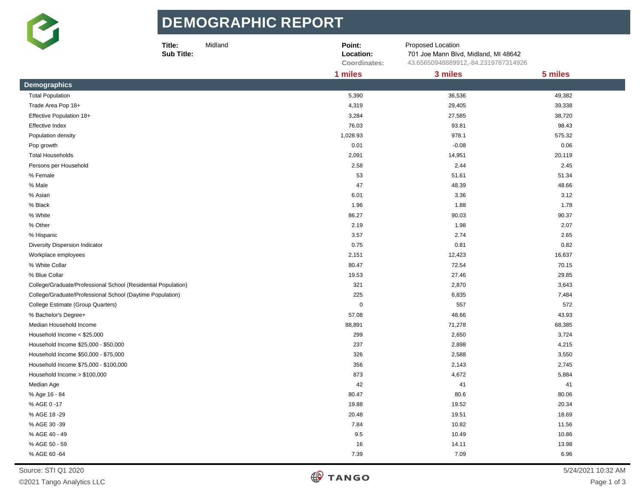

## **DE MOGR APHIC R EPORT**

|                                                               | Title:<br>Midland<br><b>Sub Title:</b> | Point:<br>Location:<br>Coordinates: | Proposed Location<br>701 Joe Mann Blvd, Midland, MI 48642<br>43.65650948889912,-84.2319787314926 |         |  |
|---------------------------------------------------------------|----------------------------------------|-------------------------------------|--------------------------------------------------------------------------------------------------|---------|--|
|                                                               |                                        | 1 miles                             | 3 miles                                                                                          | 5 miles |  |
| <b>Demographics</b>                                           |                                        |                                     |                                                                                                  |         |  |
| <b>Total Population</b>                                       |                                        | 5,390                               | 36,536                                                                                           | 49,382  |  |
| Trade Area Pop 18+                                            |                                        | 4,319                               | 29,405                                                                                           | 39,338  |  |
| Effective Population 18+                                      |                                        | 3,284                               | 27,585                                                                                           | 38,720  |  |
| Effective Index                                               |                                        | 76.03                               | 93.81                                                                                            | 98.43   |  |
| Population density                                            |                                        | 1,028.93                            | 978.1                                                                                            | 575.32  |  |
| Pop growth                                                    |                                        | 0.01                                | $-0.08$                                                                                          | 0.06    |  |
| <b>Total Households</b>                                       |                                        | 2,091                               | 14,951                                                                                           | 20,119  |  |
| Persons per Household                                         |                                        | 2.58                                | 2.44                                                                                             | 2.45    |  |
| % Female                                                      |                                        | 53                                  | 51.61                                                                                            | 51.34   |  |
| % Male                                                        |                                        | 47                                  | 48.39                                                                                            | 48.66   |  |
| % Asian                                                       |                                        | 6.01                                | 3.36                                                                                             | 3.12    |  |
| % Black                                                       |                                        | 1.96                                | 1.88                                                                                             | 1.78    |  |
| % White                                                       |                                        | 86.27                               | 90.03                                                                                            | 90.37   |  |
| % Other                                                       |                                        | 2.19                                | 1.98                                                                                             | 2.07    |  |
| % Hispanic                                                    |                                        | 3.57                                | 2.74                                                                                             | 2.65    |  |
| Diversity Dispersion Indicator                                |                                        | 0.75                                | 0.81                                                                                             | 0.82    |  |
| Workplace employees                                           |                                        | 2,151                               | 12,423                                                                                           | 16,637  |  |
| % White Collar                                                |                                        | 80.47                               | 72.54                                                                                            | 70.15   |  |
| % Blue Collar                                                 |                                        | 19.53                               | 27.46                                                                                            | 29.85   |  |
| College/Graduate/Professional School (Residential Population) |                                        | 321                                 | 2,870                                                                                            | 3,643   |  |
| College/Graduate/Professional School (Daytime Population)     |                                        | 225                                 | 6,835                                                                                            | 7,484   |  |
| College Estimate (Group Quarters)                             |                                        | $\pmb{0}$                           | 557                                                                                              | 572     |  |
| % Bachelor's Degree+                                          |                                        | 57.08                               | 48.66                                                                                            | 43.93   |  |
| Median Household Income                                       |                                        | 88,891                              | 71,278                                                                                           | 68,385  |  |
| Household Income < \$25,000                                   |                                        | 299                                 | 2,650                                                                                            | 3,724   |  |
| Household Income \$25,000 - \$50,000                          |                                        | 237                                 | 2,898                                                                                            | 4,215   |  |
| Household Income \$50,000 - \$75,000                          |                                        | 326                                 | 2,588                                                                                            | 3,550   |  |
| Household Income \$75,000 - \$100,000                         |                                        | 356                                 | 2,143                                                                                            | 2,745   |  |
| Household Income > \$100,000                                  |                                        | 873                                 | 4,672                                                                                            | 5,884   |  |
| Median Age                                                    |                                        | 42                                  | 41                                                                                               | 41      |  |
| % Age 16 - 84                                                 |                                        | 80.47                               | 80.6                                                                                             | 80.06   |  |
| % AGE 0 -17                                                   |                                        | 19.88                               | 19.52                                                                                            | 20.34   |  |
| % AGE 18 -29                                                  |                                        | 20.48                               | 19.51                                                                                            | 18.69   |  |
| % AGE 30 -39                                                  |                                        | 7.84                                | 10.82                                                                                            | 11.56   |  |
| % AGE 40 - 49                                                 |                                        | 9.5                                 | 10.49                                                                                            | 10.86   |  |
| % AGE 50 - 59                                                 |                                        | 16                                  | 14.11                                                                                            | 13.98   |  |
| % AGE 60 -64                                                  |                                        | 7.39                                | 7.09                                                                                             | 6.96    |  |